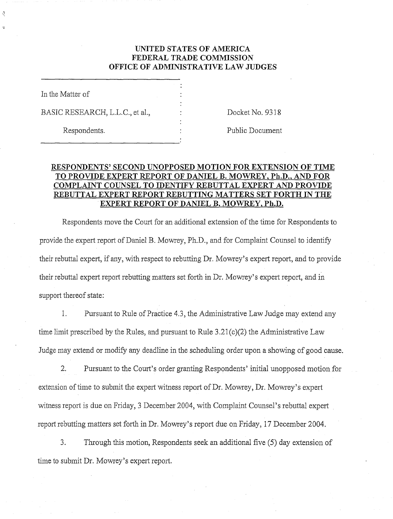# **UNITED STATES OF AMERICA FEDERAL TRADE COMMISSION OFFICE OF ADMINISTRATIVE LAW JUDGES**

In the Matter of

BASIC RESEARCH, L.L.C., et al.,  $\qquad \qquad$  : Docket No. 9318

Respondents. The expondents of the extension of the Public Document

# **RESPONDENTS' SECOND UNOPPOSED MOTION FOR EXTENSION OF TIME TO PROVIDE EXPERT REPORT OF DANIEL B. MOWREY, Ph.D., AND FOR COMPLAINT COUNSEL TO IDENTIFY REBUTTAL EXPERT AND PROVIDE REBUTTAL EXPERT REPORT REBUTTING MATTERS SET FORTH IN THE EXPERT REPORT OF DANIEL B. MOWREY, Ph.D.**

Respondents move the Court for an additional extension of the time for Respondents to provide the expert report of Daniel B. Mowrey, Ph.D., and for Complaint Counsel to identify their rebuttal expert, if any, with respect to rebutting Dr. Mowrey's expert report, and to provide their rebuttal expert report rebutting matters set forth in Dr. Mowrey's expert report, and in support thereof state:

1. Pursuant to Rule of Practice 4.3, the Administrative Law Judge may extend any time limit prescribed by the Rules, and pursuant to Rule  $3.21(c)(2)$  the Administrative Law Judge may extend or modify any deadline in the scheduling order upon a showing of good cause.

2. Pursuant to the Court's order granting Respondents' initial unopposed motion for extension of time to submit the expert witness report of  $Dr.$  Mowrey,  $Dr.$  Mowrey's expert witness report is due on Friday, 3 December 2004, with Complaint Counsel's rebuttal expert report rebutting matters set forth in Dr. Mowrey's report due on Friday, 17 December 2004.

3. Through this motion, Respondents seek an additional five (5) day extension of time to submit Dr. Mowrey's expert report.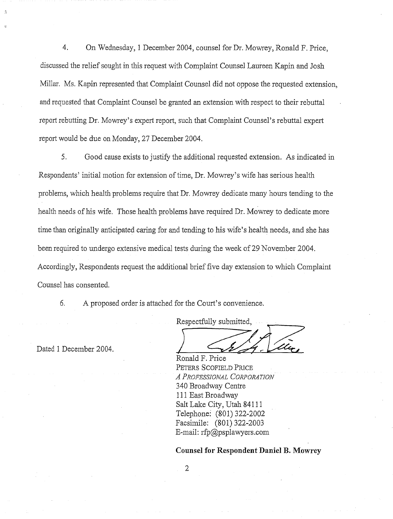4. On Wednesday, 1 December 2004, counsel for Dr. Mowrey, Ronald F. Price, discussed the relief sought in this request with Complaint Counsel Laureen Kapin and Josh Millar. Ms. Kapin represented that Complaint Counsel did not oppose the requested extension, and requested that Complaint Counsel be granted an extension with respect to their rebuttal report rebutting Dr. Mowrey's expert report, such that Complaint Counsel's rebuttal expert report would be due on Monday, 27 December 2004.

**5.** Good cause exists to justify the additional requested extension. As indicated in Respondents' initial motion for extension of time, Dr. Mowrey's wife has serious health problems, which health problems require that Dr. Mowrey dedicate many hours tending to the health needs of his wife. Those health problems have required Dr. Mowrey to dedicate more time than originally anticipated caring for and tending to his wife's health needs, and she has been required to undergo extensive medical tests during the week of 29 November 2004. Accordingly, Respondents request the additional brief five day extension to which Complaint Counsel has consented.

*6.* A proposed order is attached for the Court's convenience.

Dated 1 December 2004.<br>Ronald F. Price

Respectfully submitted,

PETERS SCOFIELD PRICE **A PROFESSIONAL CORPORATION** 340 Broadway Centre 111 East Broadway Salt Lake City, Utah 841 11 Telephone: (801) 322-2002 Facsimile: (801) 322-2003 E-mail: rfp@psplawyers.com

**Counsel for Respondent Daniel B. Mowrey** 

 $\overline{2}$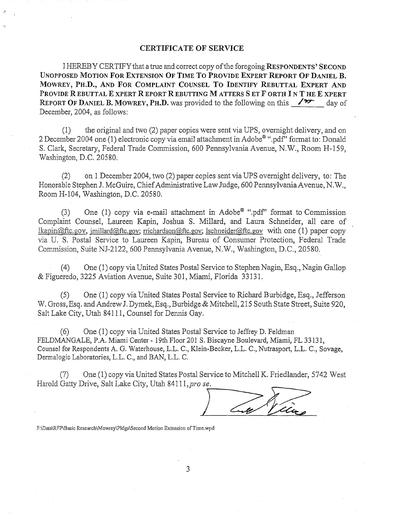### **CERTIFICATE OF SERVICE**

I HEREBY CERTIFY that a true and correct copy of the foregoing **RESPONDENTS' SECOND** UNOPPOSED MOTION FOR EXTENSION OF TIME TO PROVIDE EXPERT REPORT OF DANIEL B. **MOWREY, PILD., AND FOR COMPLAINT COUNSEL TO IDENTIFY REBUTTAL EXPERT AND**  PROVIDE R EBUTTAL E XPERT R EPORT R EBUTTING M ATTERS S ET F ORTH I N T HE E XPERT **REPORT OF DANIEL B. MOWREY, PH.D.** was provided to the following on this  $\sqrt{2}$  day of December, 2004, as follows:

(1) the original and two (2) paper copies were sent via UPS, overnight delivery, and on 2 December 2004 one (1) electronic copy via email attachment in Adobe® ".pdf" format to: Donald S. Clark, Secretary, Federal Trade Commission, 600 Pennsylvania Avenue, N.W., Room H-159, Washington, D.C. 20580.

(2) on 1 December 2004, two  $(2)$  paper copies sent via UPS overnight delivery, to: The Honorable Stephen J. McGuire, Chief Administrative Law Judge, 600 Pennsylvania Avenue, N.W., Room H-104, Washington, D.C. 20580.

(3) One (1) copy via e-mail attachment in Adobe<sup>®</sup> ".pdf" format to Commission Complaint Counsel, Laureen Kapin, Joshua S. Millard, and Laura Schneider, all care of lkapin@ftc.gov, jmillard@ftc.gov; rrichardson@ftc.gov; lschneider@ftc.gov with one (1) paper copy via U. S. Postal Service to Laureen Kapin, Bureau of Consumer Protection, Federal Trade Commission, Suite NJ-2122, 600 Pennsylvania Avenue, N.W., Washington, D.C., 20580.

(4) One (1) copy via United States Postal Service to Stephen Nagin, Esq., Nagin Gallop & Figueredo, 3225 Aviation Avenue, Suite 301, Miami, Florida 33131.

(5) One (1) copy via United States Postal Service to Richard Burbidge, Esq., Jefferson W. Gross, Esq. and Andrew J. Dymek, Esq., Burbidge & Mitchell, 215 South State Street, Suite 920, Salt Lake City, Utah 841 11, Counsel for Dennis Gay.

 $(6)$  One  $(1)$  copy via United States Postal Service to Jeffrey D. Feldman FELDMANGALE, P.A. Miami Center - 19th Floor 201 S. Biscayne Boulevard, Miami, FL 33131, Counsel for Respondents A. G. Waterhouse, L.L. C., Klein-Becker, L.L. C., Nutrasport, L.L. C., Sovage, Dermalogic Laboratories, L.L. C., and BAN, L.L. C.

(7) One (1) copy via United States Postal Service to Mitchell K. Friedlander, 5742 West<br>Harold Gatty Drive, Salt Lake City, Utah 84111, pro se.

re V

F:\Data\RFP\Basic Research\Mowrey\Pldgs\Second Motion Extension of Time.wpd

3